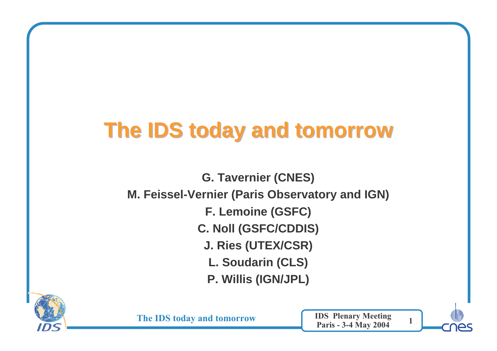# **The IDS today and tomorrow**

**G. Tavernier (CNES)M. Feissel-Vernier (Paris Observatory and IGN)F. Lemoine (GSFC)C. Noll (GSFC/CDDIS)J. Ries (UTEX/CSR)L. Soudarin (CLS)P. Willis (IGN/JPL)**



The IDS today and tomorrow

W IDS Plenary Meeting 1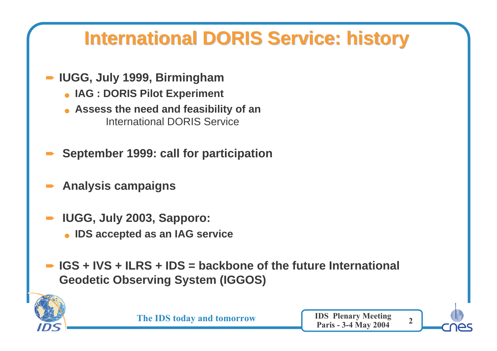## **International DORIS Service: history**

- ➨ **IUGG, July 1999, Birmingham**
	- **IAG : DORIS Pilot Experiment**
	- **Assess the need and feasibility of an**International DORIS Service
- ➨**September 1999: call for participation**
- ➨**Analysis campaigns**
- ➨ **IUGG, July 2003, Sapporo:**
	- **IDS accepted as an IAG service**
- **► IGS + IVS + ILRS + IDS = backbone of the future International Geodetic Observing System (IGGOS)**



The IDS today and tomorrow

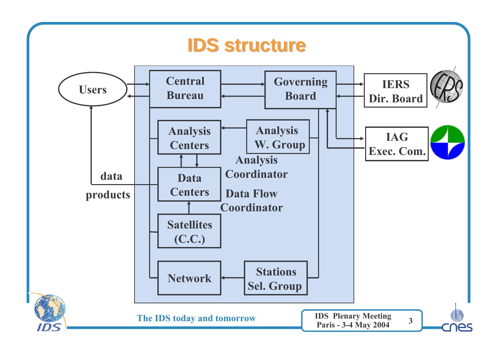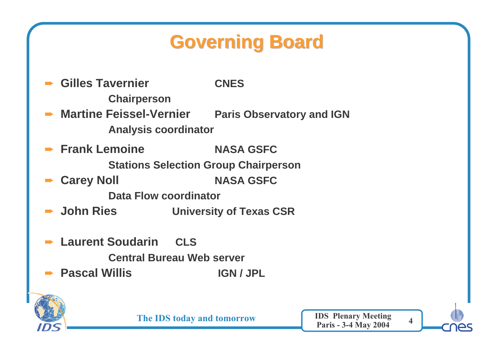# **Governing Board**

➨ **Gilles Tavernier CNES Chairperson► Martine Feissel-Ve** 

**Paris Observatory and IGN Analysis coordinator**

➨ **Frank Lemoine NASA GSFC Stations Selection Group Chairperson**

➨ **Carey Noll NASA GSFC**

**Data Flow coordinator**

**→ John Ries University of Texas CSR** 

➨ **Laurent Soudarin CLS**

**Central Bureau Web server**

➨ **Pascal Willis IGN / JPL**



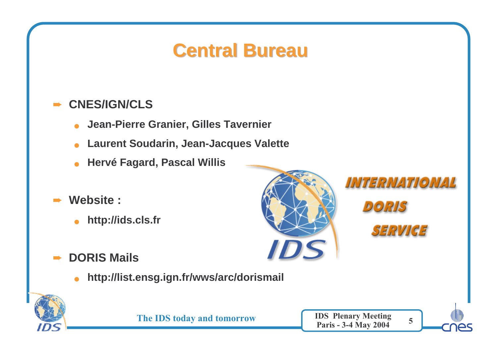#### **Central Bureau**

#### ➨**CNES/IGN/CLS**

- ●**Jean-Pierre Granier, Gilles Tavernier**
- ●**Laurent Soudarin, Jean-Jacques Valette**
- $\bullet$ **Hervé Fagard, Pascal Willis**
- ➨ **Website :**
	- ●**http://ids.cls.fr**
- ➨ **DORIS Mails**
	- $\bullet$ **http://list.ensg.ign.fr/wws/arc/dorismail**





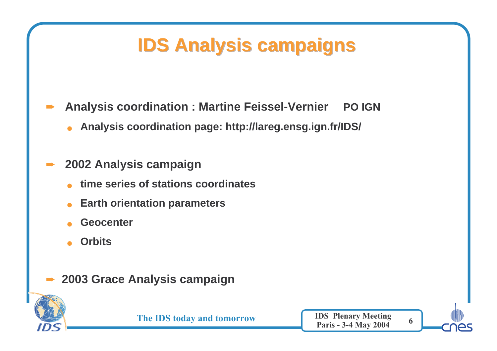## **IDS Analysis campaigns**

- ➨ **Analysis coordination : Martine Feissel-Vernier PO IGN**
	- ●**Analysis coordination page: http://lareg.ensg.ign.fr/IDS/**

#### ➨**2002 Analysis campaign**

- ●**time series of stations coordinates**
- ●**Earth orientation parameters**
- ●**Geocenter**
- ●**Orbits**
- ➨**2003 Grace Analysis campaign**



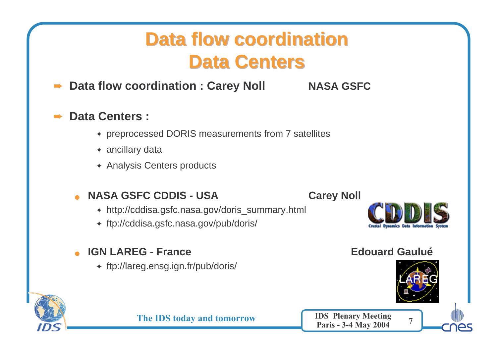## **Data flow coordination Data Centers**

➨**Data flow coordination : Carey Noll MASA GSFC** 

#### ➨**Data Centers :**

- ✦ preprocessed DORIS measurements from 7 satellites
- ✦ ancillary data
- ✦ Analysis Centers products

#### ●**NASA GSFC CDDIS - USA Carey Noll**

- ✦ http://cddisa.gsfc.nasa.gov/doris\_summary.html
- ✦ ftp://cddisa.gsfc.nasa.gov/pub/doris/

#### ●**IGN LAREG - France Edouard Gaulué**

✦ ftp://lareg.ensg.ign.fr/pub/doris/







The IDS today and tomorrow

W IDS Plenary Meeting 7<br>Paris - 3-4 May 2004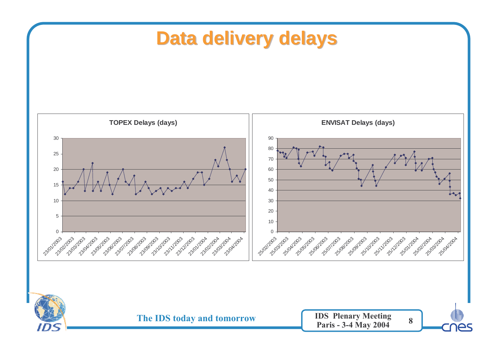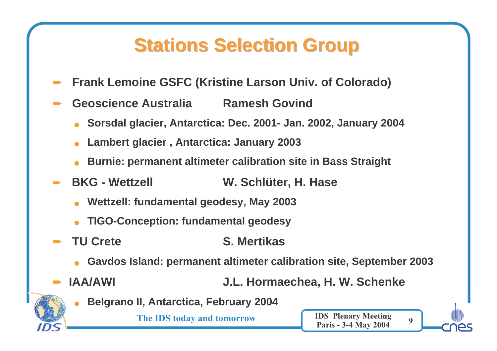### **Stations Selection Group**

- ➨**Frank Lemoine GSFC (Kristine Larson Univ. of Colorado)**
- ➨ **Geoscience Australia Ramesh Govind**
	- ●**Sorsdal glacier, Antarctica: Dec. 2001- Jan. 2002, January 2004**
	- ●**Lambert glacier , Antarctica: January 2003**
	- ●**Burnie: permanent altimeter calibration site in Bass Straight**
- ➨ **BKG - Wettzell W. Schlüter, H. Hase**
	- ●**Wettzell: fundamental geodesy, May 2003**
	- ●**TIGO-Conception: fundamental geodesy**
- ➨ **TU Crete S. Mertikas**
	- ●**Gavdos Island: permanent altimeter calibration site, September 2003**
- ➨

**IAA/AWI J.L. Hormaechea, H. W. Schenke**

●**Belgrano II, Antarctica, February 2004**

The IDS today and tomorrow

W IDS Plenary Meeting 9<br>Paris - 3-4 May 2004

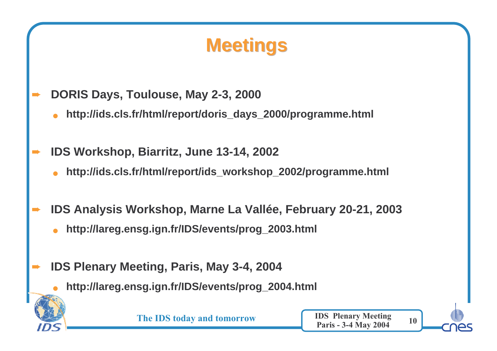## **Meetings**

- ➨ **DORIS Days, Toulouse, May 2-3, 2000**
	- ●**http://ids.cls.fr/html/report/doris\_days\_2000/programme.html**
- ➨ **IDS Workshop, Biarritz, June 13-14, 2002**
	- ●**http://ids.cls.fr/html/report/ids\_workshop\_2002/programme.html**
- ➨ **IDS Analysis Workshop, Marne La Vallée, February 20-21, 2003**
	- ●**http://lareg.ensg.ign.fr/IDS/events/prog\_2003.html**
	- **IDS Plenary Meeting, Paris, May 3-4, 2004**

➨

●**http://lareg.ensg.ign.fr/IDS/events/prog\_2004.html**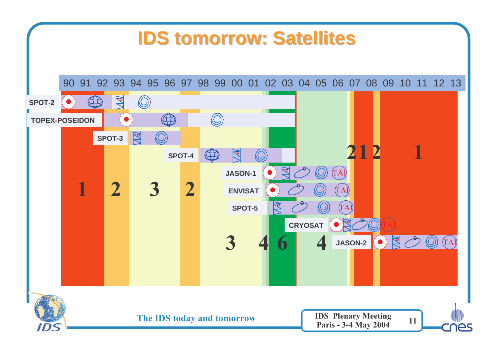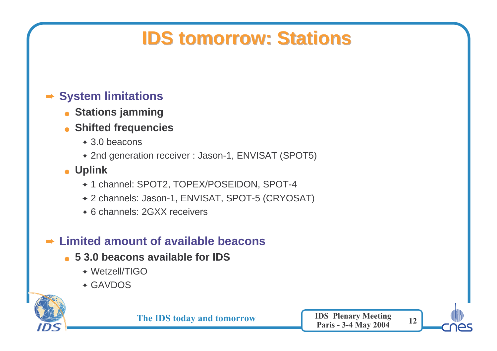## **IDS tomorrow: Stations**

#### ➨ **System limitations**

- **Stations jamming**
- **Shifted frequencies**
	- ✦ 3.0 beacons
	- ✦ 2nd generation receiver : Jason-1, ENVISAT (SPOT5)
- **Uplink**
	- ✦ 1 channel: SPOT2, TOPEX/POSEIDON, SPOT-4
	- ✦ 2 channels: Jason-1, ENVISAT, SPOT-5 (CRYOSAT)
	- ✦ 6 channels: 2GXX receivers

### ➨ **Limited amount of available beacons**

- **5 3.0 beacons available for IDS**
	- ✦ Wetzell/TIGO
	- ✦ GAVDOS



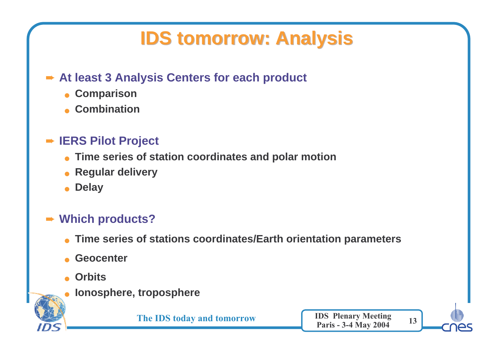## **IDS tomorrow: Analysis**

### ➨ **At least 3 Analysis Centers for each product**

- **Comparison**
- **Combination**

#### ➨ **IERS Pilot Project**

- **Time series of station coordinates and polar motion**
- **Regular delivery**
- ●**Delay**

#### ➨ **Which products?**

- ●**Time series of stations coordinates/Earth orientation parameters**
- ●**Geocenter**
- ●**Orbits**
- **Ionosphere, troposphere**

The IDS today and tomorrow